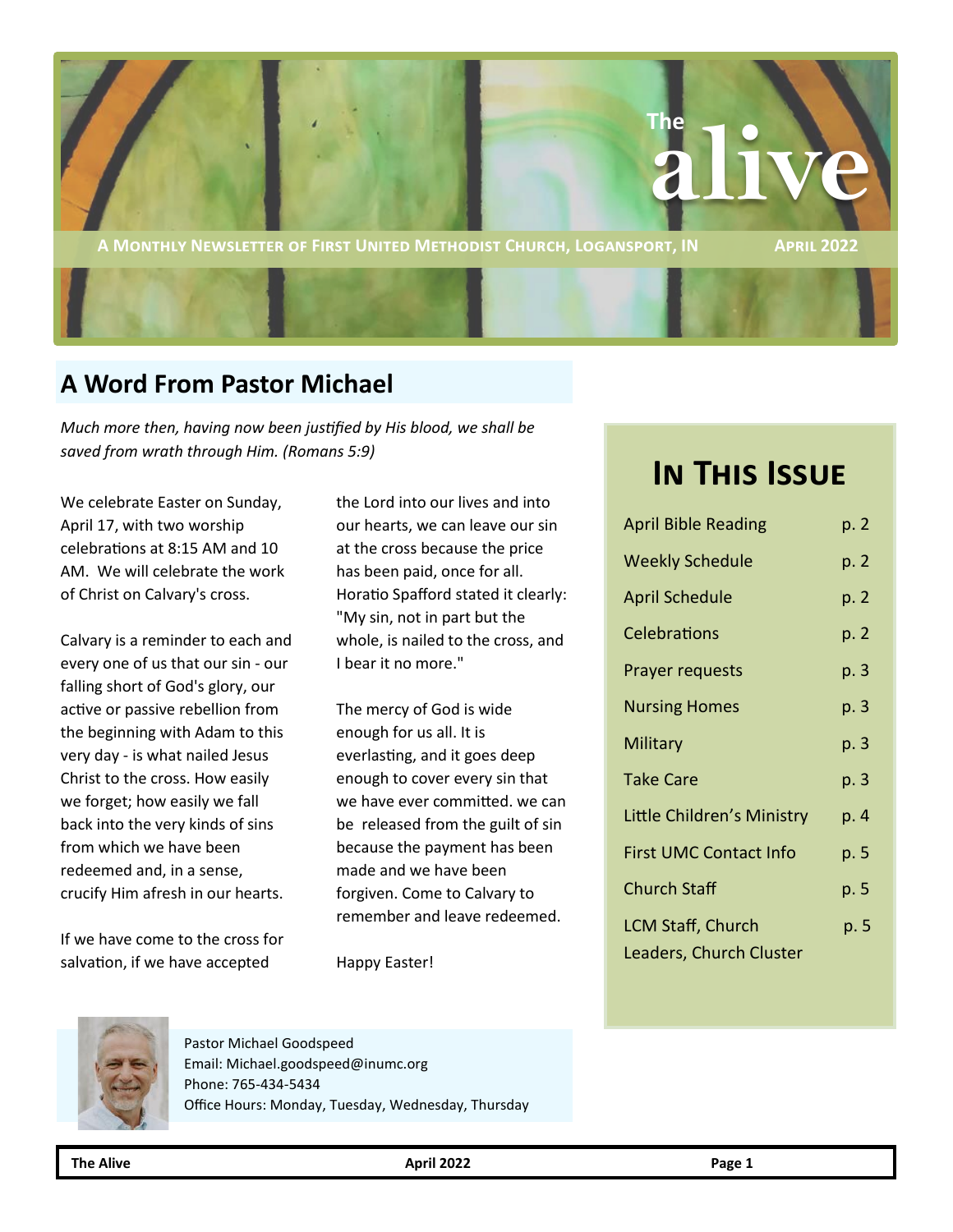

**A MONTHLY NEWSLETTER OF FIRST UNITED METHODIST CHURCH, LOGANSPORT, IN APRIL 2022** 

# **A Word From Pastor Michael**

*Much more then, having now been justified by His blood, we shall be saved from wrath through Him. (Romans 5:9)*

We celebrate Easter on Sunday, April 17, with two worship celebrations at 8:15 AM and 10 AM. We will celebrate the work of Christ on Calvary's cross.

Calvary is a reminder to each and every one of us that our sin - our falling short of God's glory, our active or passive rebellion from the beginning with Adam to this very day - is what nailed Jesus Christ to the cross. How easily we forget; how easily we fall back into the very kinds of sins from which we have been redeemed and, in a sense, crucify Him afresh in our hearts.

If we have come to the cross for salvation, if we have accepted

the Lord into our lives and into our hearts, we can leave our sin at the cross because the price has been paid, once for all. Horatio Spafford stated it clearly: "My sin, not in part but the whole, is nailed to the cross, and I bear it no more."

The mercy of God is wide enough for us all. It is everlasting, and it goes deep enough to cover every sin that we have ever committed. we can be released from the guilt of sin because the payment has been made and we have been forgiven. Come to Calvary to remember and leave redeemed.

Happy Easter!

# **In This Issue**

| <b>April Bible Reading</b>                          | p. 2 |
|-----------------------------------------------------|------|
| <b>Weekly Schedule</b>                              | p. 2 |
| <b>April Schedule</b>                               | p. 2 |
| Celebrations                                        | p. 2 |
| <b>Prayer requests</b>                              | p. 3 |
| <b>Nursing Homes</b>                                | p. 3 |
| Military                                            | p. 3 |
| <b>Take Care</b>                                    | p. 3 |
| Little Children's Ministry                          | p. 4 |
| <b>First UMC Contact Info</b>                       | p. 5 |
| <b>Church Staff</b>                                 | p. 5 |
| <b>LCM Staff, Church</b><br>Leaders, Church Cluster | p. 5 |



Pastor Michael Goodspeed Email: Michael.goodspeed@inumc.org Phone: 765-434-5434 Office Hours: Monday, Tuesday, Wednesday, Thursday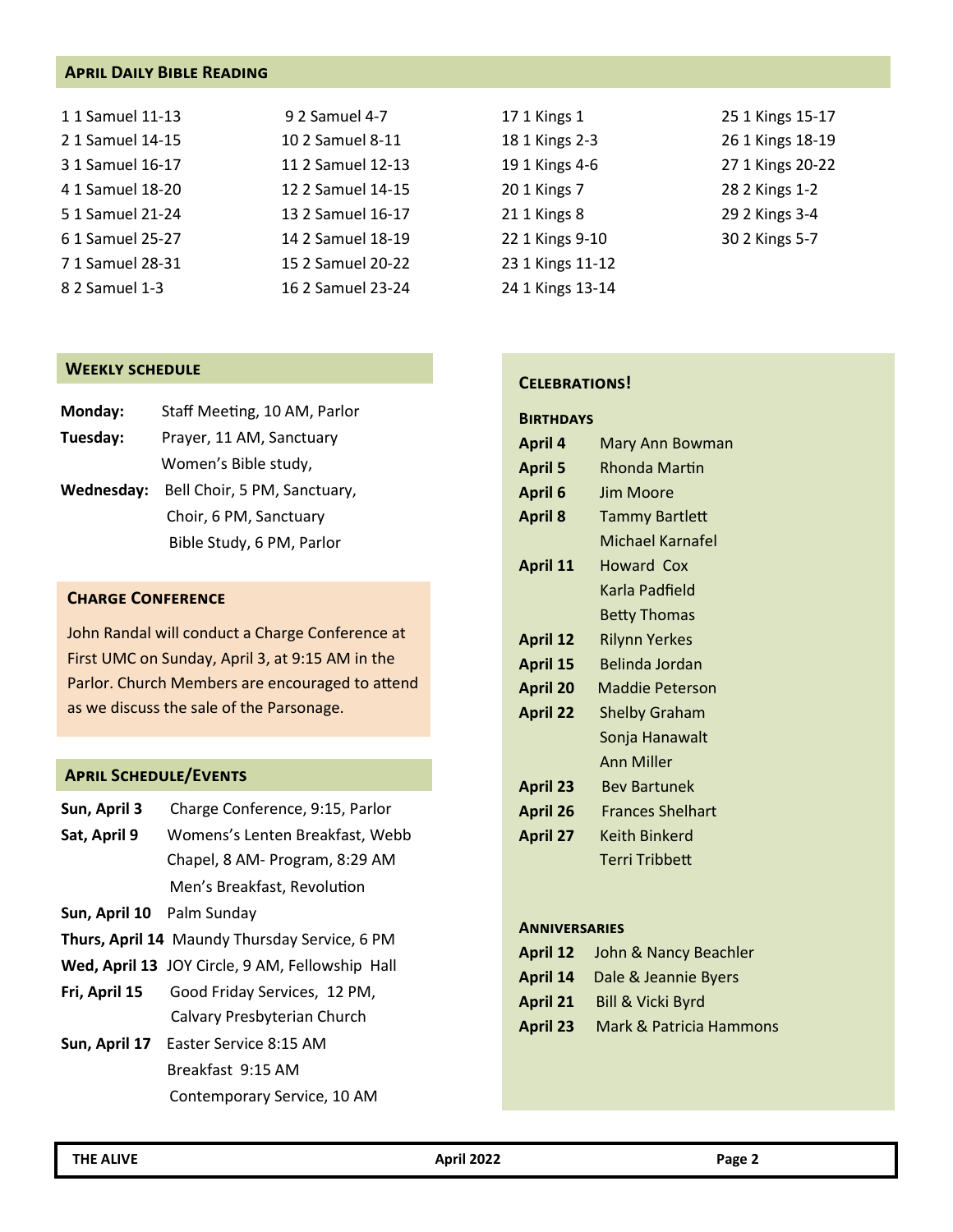#### **April Daily Bible Reading**

| 1 1 Samuel 11-13 | 9 2 Samuel 4-7    | 17 1 Kings 1     | 25 1 Kings 15-17 |
|------------------|-------------------|------------------|------------------|
| 2 1 Samuel 14-15 | 10 2 Samuel 8-11  | 18 1 Kings 2-3   | 26 1 Kings 18-19 |
| 3 1 Samuel 16-17 | 11 2 Samuel 12-13 | 19 1 Kings 4-6   | 27 1 Kings 20-22 |
| 4 1 Samuel 18-20 | 12 2 Samuel 14-15 | 20 1 Kings 7     | 28 2 Kings 1-2   |
| 5 1 Samuel 21-24 | 13 2 Samuel 16-17 | 21 1 Kings 8     | 29 2 Kings 3-4   |
| 6 1 Samuel 25-27 | 14 2 Samuel 18-19 | 22 1 Kings 9-10  | 30 2 Kings 5-7   |
| 71 Samuel 28-31  | 15 2 Samuel 20-22 | 23 1 Kings 11-12 |                  |
| 8 2 Samuel 1-3   | 16 2 Samuel 23-24 | 24 1 Kings 13-14 |                  |

#### **Weekly schedule**

| Monday:    | Staff Meeting, 10 AM, Parlor |
|------------|------------------------------|
| Tuesday:   | Prayer, 11 AM, Sanctuary     |
|            | Women's Bible study,         |
| Wednesday: | Bell Choir, 5 PM, Sanctuary, |
|            | Choir, 6 PM, Sanctuary       |
|            | Bible Study, 6 PM, Parlor    |

#### **Charge Conference**

John Randal will conduct a Charge Conference at First UMC on Sunday, April 3, at 9:15 AM in the Parlor. Church Members are encouraged to attend as we discuss the sale of the Parsonage.

#### **April Schedule/Events**

| Sun, April 3 | Charge Conference, 9:15, Parlor |  |
|--------------|---------------------------------|--|
|--------------|---------------------------------|--|

- **Sat, April 9** Womens's Lenten Breakfast, Webb Chapel, 8 AM- Program, 8:29 AM Men's Breakfast, Revolution
- **Sun, April 10** Palm Sunday
- **Thurs, April 14** Maundy Thursday Service, 6 PM
- **Wed, April 13** JOY Circle, 9 AM, Fellowship Hall
- **Fri, April 15** Good Friday Services, 12 PM, Calvary Presbyterian Church
- **Sun, April 17** Easter Service 8:15 AM Breakfast 9:15 AM Contemporary Service, 10 AM

#### **Celebrations!**

| <b>BIRTHDAYS</b> |                         |
|------------------|-------------------------|
| <b>April 4</b>   | Mary Ann Bowman         |
| <b>April 5</b>   | Rhonda Martin           |
| <b>April 6</b>   | Jim Moore               |
| <b>April 8</b>   | Tammy Bartlett          |
|                  | Michael Karnafel        |
| <b>April 11</b>  | Howard Cox              |
|                  | Karla Padfield          |
|                  | <b>Betty Thomas</b>     |
| <b>April 12</b>  | <b>Rilynn Yerkes</b>    |
| <b>April 15</b>  | Belinda Jordan          |
| <b>April 20</b>  | <b>Maddie Peterson</b>  |
| <b>April 22</b>  | <b>Shelby Graham</b>    |
|                  | Sonja Hanawalt          |
|                  | <b>Ann Miller</b>       |
| <b>April 23</b>  | <b>Bev Bartunek</b>     |
| <b>April 26</b>  | <b>Frances Shelhart</b> |
| <b>April 27</b>  | Keith Binkerd           |
|                  | Terri Tribbett          |
|                  |                         |

#### **Anniversaries**

| <b>April 12</b><br>John & Nancy Beachler |
|------------------------------------------|
|------------------------------------------|

- **April 14** Dale & Jeannie Byers
- **April 21** Bill & Vicki Byrd
- **April 23** Mark & Patricia Hammons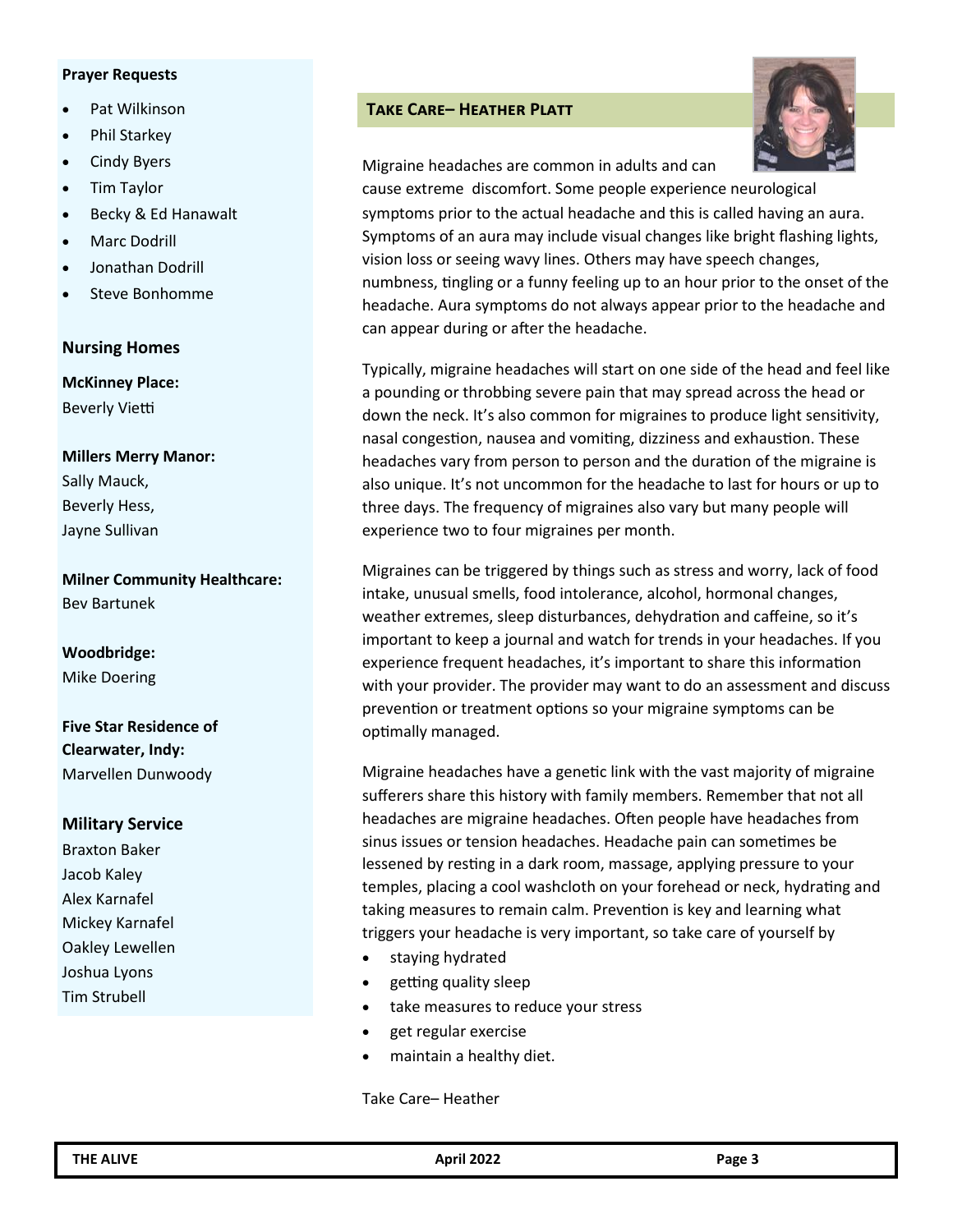#### **Prayer Requests**

- Pat Wilkinson
- Phil Starkey
- **Cindy Byers**
- Tim Taylor
- Becky & Ed Hanawalt
- Marc Dodrill
- Jonathan Dodrill
- Steve Bonhomme

#### **Nursing Homes**

**McKinney Place:** Beverly Vietti

**Millers Merry Manor:**  Sally Mauck, Beverly Hess, Jayne Sullivan

**Milner Community Healthcare:**  Bev Bartunek

**Woodbridge:** Mike Doering

**Five Star Residence of Clearwater, Indy:**  Marvellen Dunwoody

#### **Military Service**

Braxton Baker Jacob Kaley Alex Karnafel Mickey Karnafel Oakley Lewellen Joshua Lyons Tim Strubell

### **Take Care– Heather Platt**



Migraine headaches are common in adults and can

cause extreme discomfort. Some people experience neurological symptoms prior to the actual headache and this is called having an aura. Symptoms of an aura may include visual changes like bright flashing lights, vision loss or seeing wavy lines. Others may have speech changes, numbness, tingling or a funny feeling up to an hour prior to the onset of the headache. Aura symptoms do not always appear prior to the headache and can appear during or after the headache.

Typically, migraine headaches will start on one side of the head and feel like a pounding or throbbing severe pain that may spread across the head or down the neck. It's also common for migraines to produce light sensitivity, nasal congestion, nausea and vomiting, dizziness and exhaustion. These headaches vary from person to person and the duration of the migraine is also unique. It's not uncommon for the headache to last for hours or up to three days. The frequency of migraines also vary but many people will experience two to four migraines per month.

Migraines can be triggered by things such as stress and worry, lack of food intake, unusual smells, food intolerance, alcohol, hormonal changes, weather extremes, sleep disturbances, dehydration and caffeine, so it's important to keep a journal and watch for trends in your headaches. If you experience frequent headaches, it's important to share this information with your provider. The provider may want to do an assessment and discuss prevention or treatment options so your migraine symptoms can be optimally managed.

Migraine headaches have a genetic link with the vast majority of migraine sufferers share this history with family members. Remember that not all headaches are migraine headaches. Often people have headaches from sinus issues or tension headaches. Headache pain can sometimes be lessened by resting in a dark room, massage, applying pressure to your temples, placing a cool washcloth on your forehead or neck, hydrating and taking measures to remain calm. Prevention is key and learning what triggers your headache is very important, so take care of yourself by

- staying hydrated
- getting quality sleep
- take measures to reduce your stress
- get regular exercise
- maintain a healthy diet.

Take Care– Heather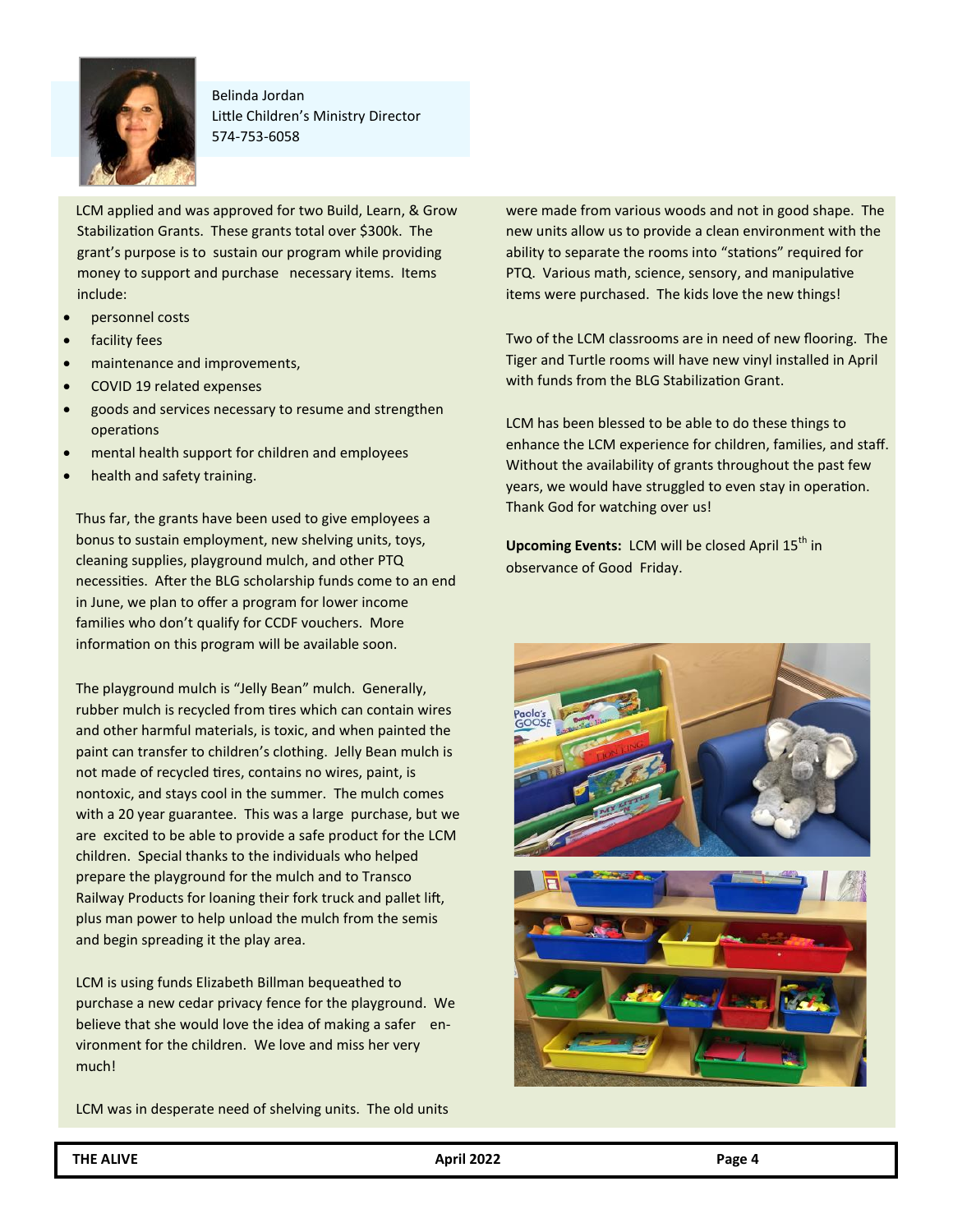

Belinda Jordan Little Children's Ministry Director 574-753-6058

LCM applied and was approved for two Build, Learn, & Grow Stabilization Grants. These grants total over \$300k. The grant's purpose is to sustain our program while providing money to support and purchase necessary items. Items include:

- personnel costs
- facility fees
- maintenance and improvements,
- COVID 19 related expenses
- goods and services necessary to resume and strengthen operations
- mental health support for children and employees
- health and safety training.

Thus far, the grants have been used to give employees a bonus to sustain employment, new shelving units, toys, cleaning supplies, playground mulch, and other PTQ necessities. After the BLG scholarship funds come to an end in June, we plan to offer a program for lower income families who don't qualify for CCDF vouchers. More information on this program will be available soon.

The playground mulch is "Jelly Bean" mulch. Generally, rubber mulch is recycled from tires which can contain wires and other harmful materials, is toxic, and when painted the paint can transfer to children's clothing. Jelly Bean mulch is not made of recycled tires, contains no wires, paint, is nontoxic, and stays cool in the summer. The mulch comes with a 20 year guarantee. This was a large purchase, but we are excited to be able to provide a safe product for the LCM children. Special thanks to the individuals who helped prepare the playground for the mulch and to Transco Railway Products for loaning their fork truck and pallet lift, plus man power to help unload the mulch from the semis and begin spreading it the play area.

LCM is using funds Elizabeth Billman bequeathed to purchase a new cedar privacy fence for the playground. We believe that she would love the idea of making a safer environment for the children. We love and miss her very much!

LCM was in desperate need of shelving units. The old units

were made from various woods and not in good shape. The new units allow us to provide a clean environment with the ability to separate the rooms into "stations" required for PTQ. Various math, science, sensory, and manipulative items were purchased. The kids love the new things!

Two of the LCM classrooms are in need of new flooring. The Tiger and Turtle rooms will have new vinyl installed in April with funds from the BLG Stabilization Grant.

LCM has been blessed to be able to do these things to enhance the LCM experience for children, families, and staff. Without the availability of grants throughout the past few years, we would have struggled to even stay in operation. Thank God for watching over us!

**Upcoming Events:** LCM will be closed April 15<sup>th</sup> in observance of Good Friday.

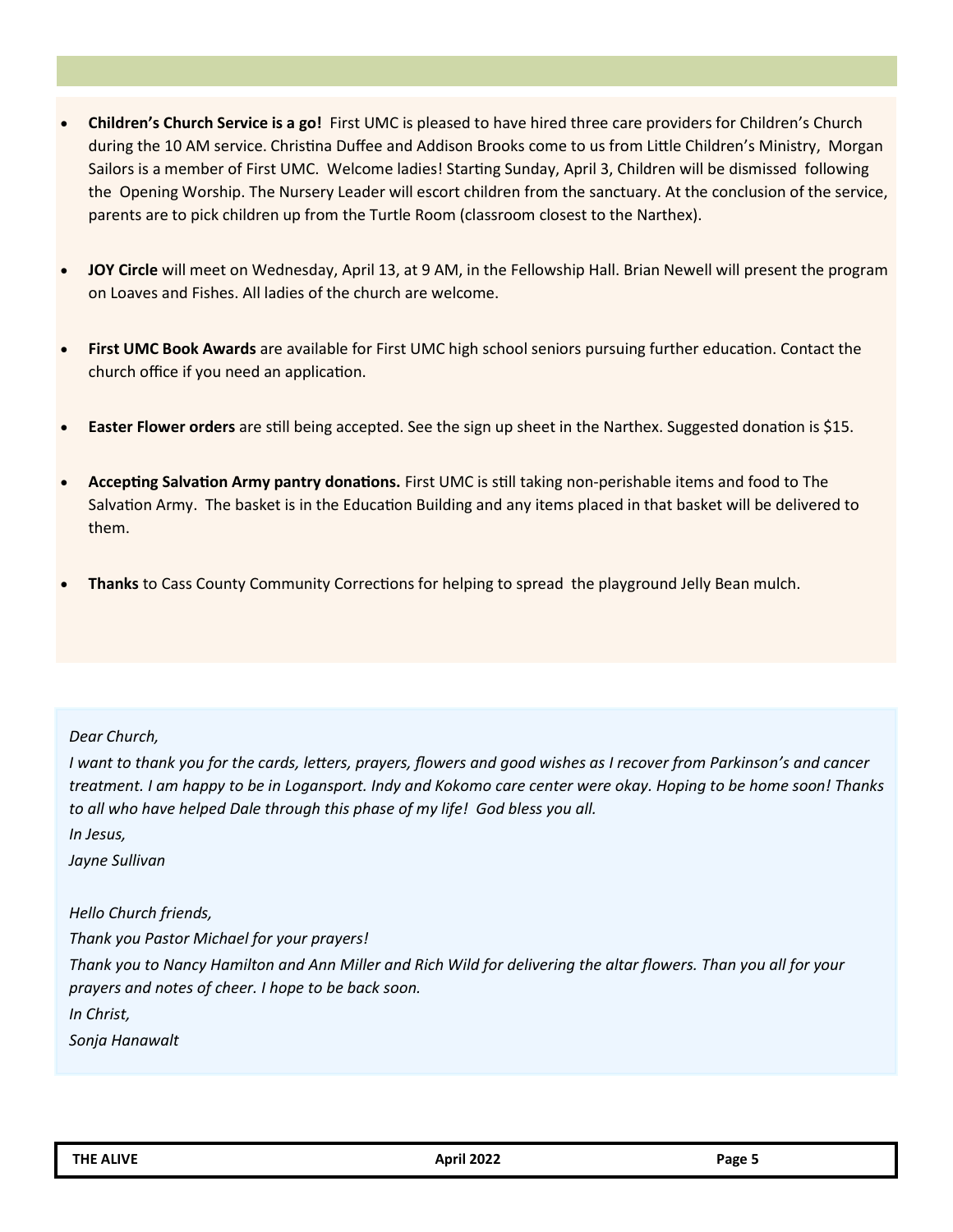- **Children's Church Service is a go!** First UMC is pleased to have hired three care providers for Children's Church during the 10 AM service. Christina Duffee and Addison Brooks come to us from Little Children's Ministry, Morgan Sailors is a member of First UMC. Welcome ladies! Starting Sunday, April 3, Children will be dismissed following the Opening Worship. The Nursery Leader will escort children from the sanctuary. At the conclusion of the service, parents are to pick children up from the Turtle Room (classroom closest to the Narthex).
- **JOY Circle** will meet on Wednesday, April 13, at 9 AM, in the Fellowship Hall. Brian Newell will present the program on Loaves and Fishes. All ladies of the church are welcome.
- **First UMC Book Awards** are available for First UMC high school seniors pursuing further education. Contact the church office if you need an application.
- **Easter Flower orders** are still being accepted. See the sign up sheet in the Narthex. Suggested donation is \$15.
- **Accepting Salvation Army pantry donations.** First UMC is still taking non-perishable items and food to The Salvation Army. The basket is in the Education Building and any items placed in that basket will be delivered to them.
- **Thanks** to Cass County Community Corrections for helping to spread the playground Jelly Bean mulch.

#### *Dear Church,*

*I* want to thank you for the cards, letters, prayers, flowers and good wishes as I recover from Parkinson's and cancer *treatment. I am happy to be in Logansport. Indy and Kokomo care center were okay. Hoping to be home soon! Thanks to all who have helped Dale through this phase of my life! God bless you all.* 

*In Jesus,*

*Jayne Sullivan*

# *Hello Church friends,*

*Thank you Pastor Michael for your prayers! Thank you to Nancy Hamilton and Ann Miller and Rich Wild for delivering the altar flowers. Than you all for your prayers and notes of cheer. I hope to be back soon. In Christ, Sonja Hanawalt*